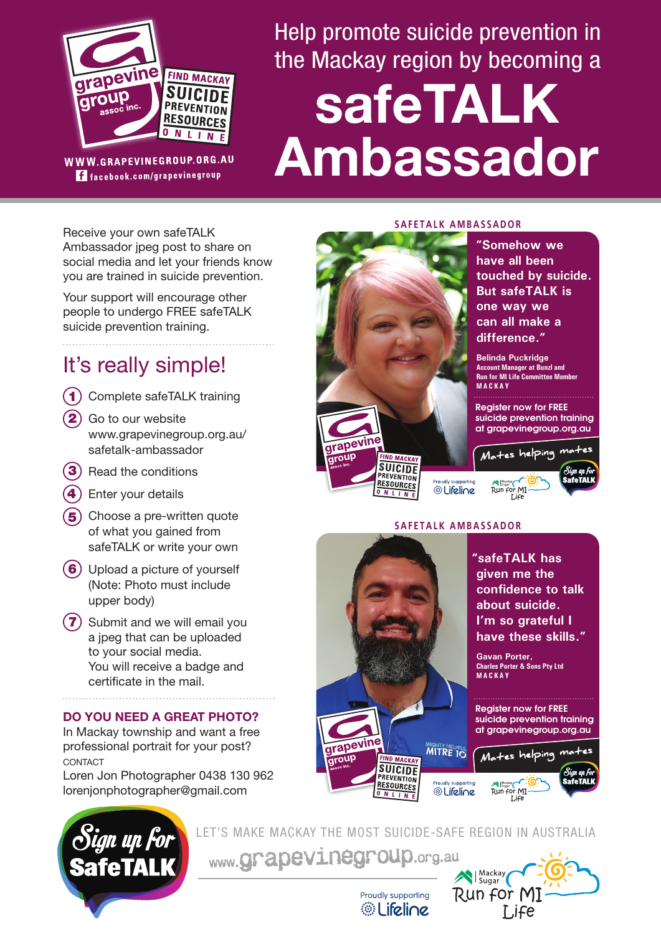

f facebook.com/grapevinegroup

Help promote suicide prevention in the Mackay region by becoming a

# **safeTALK Ambassador**

Receive your own safeTALK Ambassador jpeg post to share on social media and let your friends know you are trained in suicide prevention.

Your support will encourage other people to undergo FREE safeTALK suicide prevention training.

# It's really simple!

- 1) Complete safeTALK training
- Go to our website www.grapevinegroup.org.au/ safetalk-ambassador 2
- 3) Read the conditions
- 4) Enter your details
- 5) Choose a pre-written quote of what you gained from safeTALK or write your own
- 6) Upload a picture of yourself (Note: Photo must include upper body)
- 7) Submit and we will email you a jpeg that can be uploaded to your social media. You will receive a badge and certificate in the mail.

## **DO YOU NEED A GREAT PHOTO?**

In Mackay township and want a free professional portrait for your post? CONTACT

Loren Jon Photographer 0438 130 962 lorenjonphotographer@gmail.com



#### **SAFETALK AMBASSADOR**

 **"Somehow we have all been touched by suicide. But safeTALK is one way we can all make a difference."**

 **Belinda Puckridge Account Manager at Bunzl and Run for MI Life Committee Member MACKAY**

Register now for FREE suicide prevention training at grapevinegroup.org.au



## **SAFETALK AMBASSADOR**





LET'S MAKE MACKAY THE MOST SUICIDE-SAFE REGION IN AUSTRALIA

www.grapevinegroup.org.au